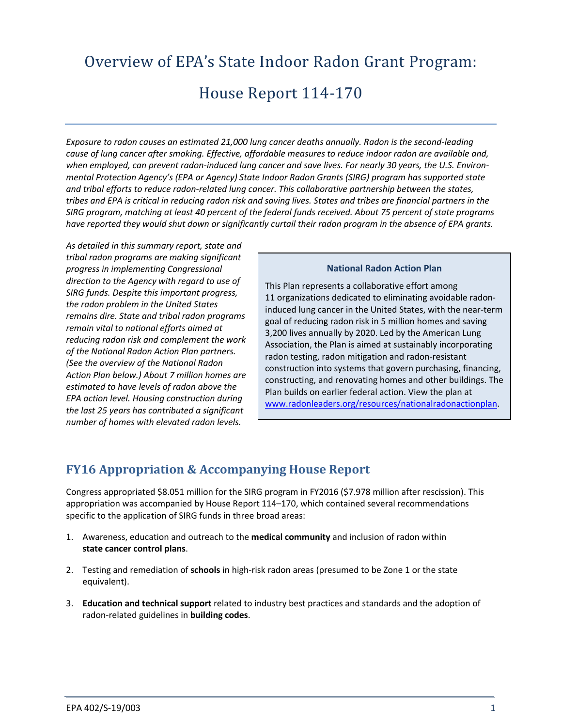# Overview of EPA's State Indoor Radon Grant Program:

# House Report 114-170

*Exposure to radon causes an estimated 21,000 lung cancer deaths annually. Radon is the second-leading cause of lung cancer after smoking. Effective, affordable measures to reduce indoor radon are available and, when employed, can prevent radon-induced lung cancer and save lives. For nearly 30 years, the U.S. Environmental Protection Agency's (EPA or Agency) State Indoor Radon Grants (SIRG) program has supported state and tribal efforts to reduce radon-related lung cancer. This collaborative partnership between the states, tribes and EPA is critical in reducing radon risk and saving lives. States and tribes are financial partners in the SIRG program, matching at least 40 percent of the federal funds received. About 75 percent of state programs have reported they would shut down or significantly curtail their radon program in the absence of EPA grants.*

*As detailed in this summary report, state and tribal radon programs are making significant progress in implementing Congressional direction to the Agency with regard to use of SIRG funds. Despite this important progress, the radon problem in the United States remains dire. State and tribal radon programs remain vital to national efforts aimed at reducing radon risk and complement the work of the National Radon Action Plan partners. (See the overview of the National Radon Action Plan below.) About 7 million homes are estimated to have levels of radon above the EPA action level. Housing construction during the last 25 years has contributed a significant number of homes with elevated radon levels.* 

### **National Radon Action Plan**

This Plan represents a collaborative effort among 11 organizations dedicated to eliminating avoidable radoninduced lung cancer in the United States, with the near-term goal of reducing radon risk in 5 million homes and saving 3,200 lives annually by 2020. Led by the American Lung Association, the Plan is aimed at sustainably incorporating radon testing, radon mitigation and radon-resistant construction into systems that govern purchasing, financing, constructing, and renovating homes and other buildings. The Plan builds on earlier federal action. View the plan at [www.radonleaders.org/resources/nationalradonactionplan.](http://www.radonleaders.org/resources/nationalradonactionplan)

### **FY16 Appropriation & Accompanying House Report**

Congress appropriated \$8.051 million for the SIRG program in FY2016 (\$7.978 million after rescission). This appropriation was accompanied by House Report 114–170, which contained several recommendations specific to the application of SIRG funds in three broad areas:

- 1. Awareness, education and outreach to the **medical community** and inclusion of radon within **state cancer control plans**.
- 2. Testing and remediation of **schools** in high-risk radon areas (presumed to be Zone 1 or the state equivalent).
- 3. **Education and technical support** related to industry best practices and standards and the adoption of radon-related guidelines in **building codes**.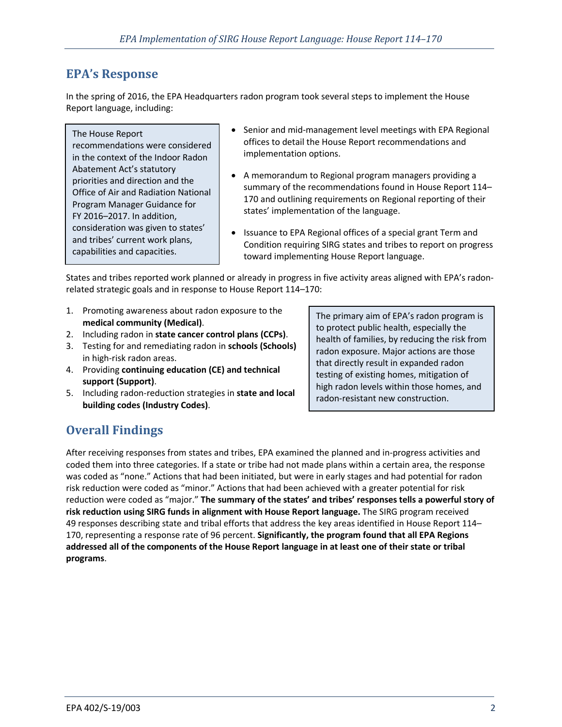### **EPA's Response**

In the spring of 2016, the EPA Headquarters radon program took several steps to implement the House Report language, including:

### The House Report

recommendations were considered in the context of the Indoor Radon Abatement Act's statutory priorities and direction and the Office of Air and Radiation National Program Manager Guidance for FY 2016–2017. In addition, consideration was given to states' and tribes' current work plans, capabilities and capacities.

- Senior and mid-management level meetings with EPA Regional offices to detail the House Report recommendations and implementation options.
- A memorandum to Regional program managers providing a summary of the recommendations found in House Report 114– 170 and outlining requirements on Regional reporting of their states' implementation of the language.
- Issuance to EPA Regional offices of a special grant Term and Condition requiring SIRG states and tribes to report on progress toward implementing House Report language.

States and tribes reported work planned or already in progress in five activity areas aligned with EPA's radonrelated strategic goals and in response to House Report 114–170:

- 1. Promoting awareness about radon exposure to the **medical community (Medical)**.
- 2. Including radon in **state cancer control plans (CCPs)**.
- 3. Testing for and remediating radon in **schools (Schools)** in high-risk radon areas.
- 4. Providing **continuing education (CE) and technical support (Support)**.
- 5. Including radon-reduction strategies in **state and local building codes (Industry Codes)**.

The primary aim of EPA's radon program is to protect public health, especially the health of families, by reducing the risk from radon exposure. Major actions are those that directly result in expanded radon testing of existing homes, mitigation of high radon levels within those homes, and radon-resistant new construction.

### **Overall Findings**

After receiving responses from states and tribes, EPA examined the planned and in-progress activities and coded them into three categories. If a state or tribe had not made plans within a certain area, the response was coded as "none." Actions that had been initiated, but were in early stages and had potential for radon risk reduction were coded as "minor." Actions that had been achieved with a greater potential for risk reduction were coded as "major." **The summary of the states' and tribes' responses tells a powerful story of risk reduction using SIRG funds in alignment with House Report language.** The SIRG program received 49 responses describing state and tribal efforts that address the key areas identified in House Report 114– 170, representing a response rate of 96 percent. **Significantly, the program found that all EPA Regions addressed all of the components of the House Report language in at least one of their state or tribal programs**.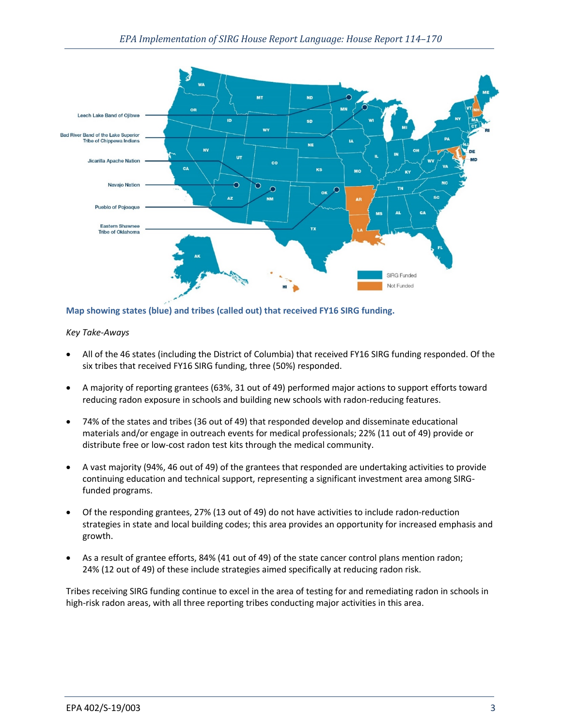

### **Map showing states (blue) and tribes (called out) that received FY16 SIRG funding.**

*Key Take-Aways*

- All of the 46 states (including the District of Columbia) that received FY16 SIRG funding responded. Of the six tribes that received FY16 SIRG funding, three (50%) responded.
- A majority of reporting grantees (63%, 31 out of 49) performed major actions to support efforts toward reducing radon exposure in schools and building new schools with radon-reducing features.
- 74% of the states and tribes (36 out of 49) that responded develop and disseminate educational materials and/or engage in outreach events for medical professionals; 22% (11 out of 49) provide or distribute free or low-cost radon test kits through the medical community.
- A vast majority (94%, 46 out of 49) of the grantees that responded are undertaking activities to provide continuing education and technical support, representing a significant investment area among SIRGfunded programs.
- Of the responding grantees, 27% (13 out of 49) do not have activities to include radon-reduction strategies in state and local building codes; this area provides an opportunity for increased emphasis and growth.
- As a result of grantee efforts, 84% (41 out of 49) of the state cancer control plans mention radon; 24% (12 out of 49) of these include strategies aimed specifically at reducing radon risk.

Tribes receiving SIRG funding continue to excel in the area of testing for and remediating radon in schools in high-risk radon areas, with all three reporting tribes conducting major activities in this area.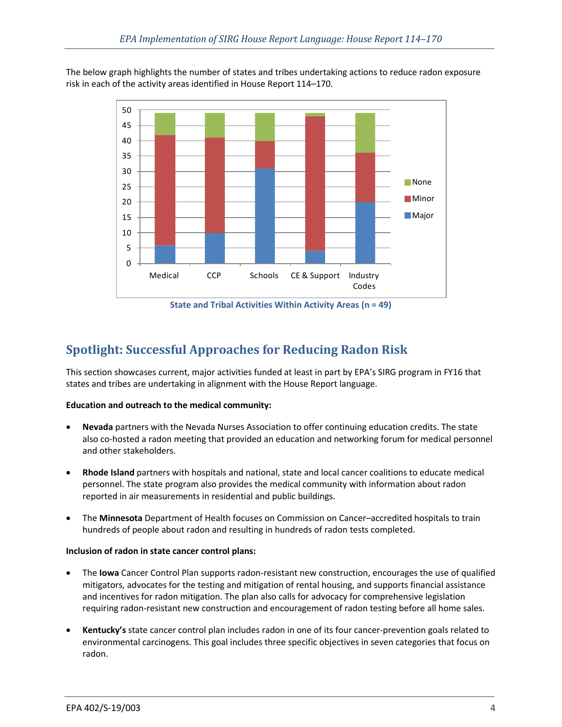The below graph highlights the number of states and tribes undertaking actions to reduce radon exposure risk in each of the activity areas identified in House Report 114–170.



**State and Tribal Activities Within Activity Areas (n = 49)**

## **Spotlight: Successful Approaches for Reducing Radon Risk**

This section showcases current, major activities funded at least in part by EPA's SIRG program in FY16 that states and tribes are undertaking in alignment with the House Report language.

### **Education and outreach to the medical community:**

- **Nevada** partners with the Nevada Nurses Association to offer continuing education credits. The state also co-hosted a radon meeting that provided an education and networking forum for medical personnel and other stakeholders.
- **Rhode Island** partners with hospitals and national, state and local cancer coalitions to educate medical personnel. The state program also provides the medical community with information about radon reported in air measurements in residential and public buildings.
- The **Minnesota** Department of Health focuses on Commission on Cancer–accredited hospitals to train hundreds of people about radon and resulting in hundreds of radon tests completed.

### **Inclusion of radon in state cancer control plans:**

- The **Iowa** Cancer Control Plan supports radon-resistant new construction, encourages the use of qualified mitigators, advocates for the testing and mitigation of rental housing, and supports financial assistance and incentives for radon mitigation. The plan also calls for advocacy for comprehensive legislation requiring radon-resistant new construction and encouragement of radon testing before all home sales.
- **Kentucky's** state cancer control plan includes radon in one of its four cancer-prevention goals related to environmental carcinogens. This goal includes three specific objectives in seven categories that focus on radon.